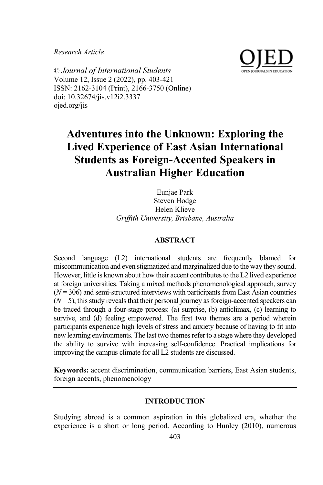*Research Article*



© *Journal of International Students* Volume 12, Issue 2 (2022), pp. 403-421 ISSN: 2162-3104 (Print), 2166-3750 (Online) doi: 10.32674/jis.v12i2.3337 ojed.org/jis

# **Adventures into the Unknown: Exploring the Lived Experience of East Asian International Students as Foreign-Accented Speakers in Australian Higher Education**

Eunjae Park Steven Hodge Helen Klieve *Griffith University, Brisbane, Australia*

# **ABSTRACT**

Second language (L2) international students are frequently blamed for miscommunication and even stigmatized and marginalized due to the way they sound. However, little is known about how their accent contributes to the L2 lived experience at foreign universities. Taking a mixed methods phenomenological approach, survey  $(N = 306)$  and semi-structured interviews with participants from East Asian countries  $(N=5)$ , this study reveals that their personal journey as foreign-accented speakers can be traced through a four-stage process: (a) surprise, (b) anticlimax, (c) learning to survive, and (d) feeling empowered. The first two themes are a period wherein participants experience high levels of stress and anxiety because of having to fit into new learning environments. The last two themes refer to a stage where they developed the ability to survive with increasing self-confidence. Practical implications for improving the campus climate for all L2 students are discussed.

**Keywords:** accent discrimination, communication barriers, East Asian students, foreign accents, phenomenology

## **INTRODUCTION**

Studying abroad is a common aspiration in this globalized era, whether the experience is a short or long period. According to Hunley (2010), numerous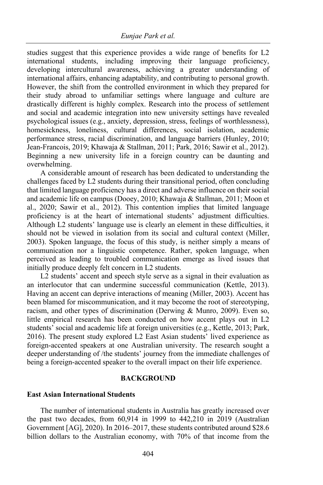studies suggest that this experience provides a wide range of benefits for L2 international students, including improving their language proficiency, developing intercultural awareness, achieving a greater understanding of international affairs, enhancing adaptability, and contributing to personal growth. However, the shift from the controlled environment in which they prepared for their study abroad to unfamiliar settings where language and culture are drastically different is highly complex. Research into the process of settlement and social and academic integration into new university settings have revealed psychological issues (e.g., anxiety, depression, stress, feelings of worthlessness), homesickness, loneliness, cultural differences, social isolation, academic performance stress, racial discrimination, and language barriers (Hunley, 2010; Jean-Francois, 2019; Khawaja & Stallman, 2011; Park, 2016; Sawir et al., 2012). Beginning a new university life in a foreign country can be daunting and overwhelming.

A considerable amount of research has been dedicated to understanding the challenges faced by L2 students during their transitional period, often concluding that limited language proficiency has a direct and adverse influence on their social and academic life on campus (Dooey, 2010; Khawaja & Stallman, 2011; Moon et al., 2020; Sawir et al., 2012). This contention implies that limited language proficiency is at the heart of international students' adjustment difficulties. Although L2 students' language use is clearly an element in these difficulties, it should not be viewed in isolation from its social and cultural context (Miller, 2003). Spoken language, the focus of this study, is neither simply a means of communication nor a linguistic competence. Rather, spoken language, when perceived as leading to troubled communication emerge as lived issues that initially produce deeply felt concern in L2 students.

L2 students' accent and speech style serve as a signal in their evaluation as an interlocutor that can undermine successful communication (Kettle, 2013). Having an accent can deprive interactions of meaning (Miller, 2003). Accent has been blamed for miscommunication, and it may become the root of stereotyping, racism, and other types of discrimination (Derwing & Munro, 2009). Even so, little empirical research has been conducted on how accent plays out in L2 students' social and academic life at foreign universities (e.g., Kettle, 2013; Park, 2016). The present study explored L2 East Asian students' lived experience as foreign-accented speakers at one Australian university. The research sought a deeper understanding of /the students' journey from the immediate challenges of being a foreign-accented speaker to the overall impact on their life experience.

#### **BACKGROUND**

#### **East Asian International Students**

The number of international students in Australia has greatly increased over the past two decades, from 60,914 in 1999 to 442,210 in 2019 (Australian Government [AG], 2020). In 2016–2017, these students contributed around \$28.6 billion dollars to the Australian economy, with 70% of that income from the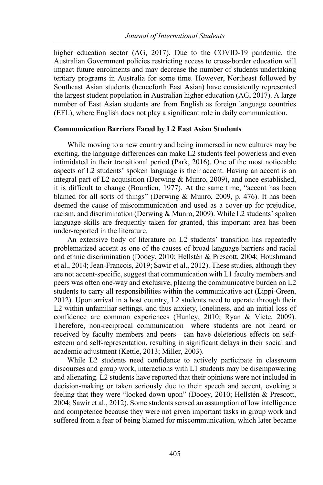higher education sector (AG, 2017). Due to the COVID-19 pandemic, the Australian Government policies restricting access to cross-border education will impact future enrolments and may decrease the number of students undertaking tertiary programs in Australia for some time. However, Northeast followed by Southeast Asian students (henceforth East Asian) have consistently represented the largest student population in Australian higher education (AG, 2017). A large number of East Asian students are from English as foreign language countries (EFL), where English does not play a significant role in daily communication.

#### **Communication Barriers Faced by L2 East Asian Students**

While moving to a new country and being immersed in new cultures may be exciting, the language differences can make L2 students feel powerless and even intimidated in their transitional period (Park, 2016). One of the most noticeable aspects of L2 students' spoken language is their accent. Having an accent is an integral part of L2 acquisition (Derwing & Munro, 2009), and once established, it is difficult to change (Bourdieu, 1977). At the same time, "accent has been blamed for all sorts of things" (Derwing & Munro, 2009, p. 476). It has been deemed the cause of miscommunication and used as a cover-up for prejudice, racism, and discrimination (Derwing & Munro, 2009). While L2 students' spoken language skills are frequently taken for granted, this important area has been under-reported in the literature.

An extensive body of literature on L2 students' transition has repeatedly problematized accent as one of the causes of broad language barriers and racial and ethnic discrimination (Dooey, 2010; Hellstén & Prescott, 2004; Houshmand et al., 2014; Jean-Francois, 2019; Sawir et al., 2012). These studies, although they are not accent-specific, suggest that communication with L1 faculty members and peers was often one-way and exclusive, placing the communicative burden on L2 students to carry all responsibilities within the communicative act (Lippi-Green, 2012). Upon arrival in a host country, L2 students need to operate through their L2 within unfamiliar settings, and thus anxiety, loneliness, and an initial loss of confidence are common experiences (Hunley, 2010; Ryan & Viete, 2009). Therefore, non-reciprocal communication—where students are not heard or received by faculty members and peers—can have deleterious effects on selfesteem and self-representation, resulting in significant delays in their social and academic adjustment (Kettle, 2013; Miller, 2003).

While L2 students need confidence to actively participate in classroom discourses and group work, interactions with L1 students may be disempowering and alienating. L2 students have reported that their opinions were not included in decision-making or taken seriously due to their speech and accent, evoking a feeling that they were "looked down upon" (Dooey, 2010; Hellstén & Prescott, 2004; Sawir et al., 2012). Some students sensed an assumption of low intelligence and competence because they were not given important tasks in group work and suffered from a fear of being blamed for miscommunication, which later became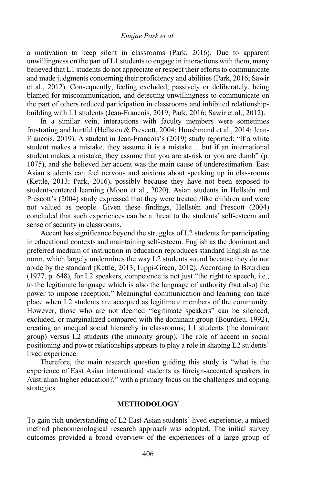a motivation to keep silent in classrooms (Park, 2016). Due to apparent unwillingness on the part of L1 students to engage in interactions with them, many believed that L1 students do not appreciate or respect their efforts to communicate and made judgments concerning their proficiency and abilities (Park, 2016; Sawir et al., 2012). Consequently, feeling excluded, passively or deliberately, being blamed for miscommunication, and detecting unwillingness to communicate on the part of others reduced participation in classrooms and inhibited relationshipbuilding with L1 students (Jean-Francois, 2019; Park, 2016; Sawir et al., 2012).

In a similar vein, interactions with faculty members were sometimes frustrating and hurtful (Hellstén & Prescott, 2004; Houshmand et al., 2014; Jean-Francois, 2019). A student in Jean-Francois's (2019) study reported: "If a white student makes a mistake, they assume it is a mistake… but if an international student makes a mistake, they assume that you are at-risk or you are dumb" (p. 1075), and she believed her accent was the main cause of underestimation. East Asian students can feel nervous and anxious about speaking up in classrooms (Kettle, 2013; Park, 2016), possibly because they have not been exposed to student-centered learning (Moon et al., 2020). Asian students in Hellstén and Prescott's (2004) study expressed that they were treated /like children and were not valued as people. Given these findings, Hellstén and Prescott (2004) concluded that such experiences can be a threat to the students' self-esteem and sense of security in classrooms.

Accent has significance beyond the struggles of L2 students for participating in educational contexts and maintaining self-esteem. English as the dominant and preferred medium of instruction in education reproduces standard English as the norm, which largely undermines the way L2 students sound because they do not abide by the standard (Kettle, 2013; Lippi-Green, 2012). According to Bourdieu (1977, p. 648), for L2 speakers, competence is not just "the right to speech, i.e., to the legitimate language which is also the language of authority (but also) the power to impose reception." Meaningful communication and learning can take place when L2 students are accepted as legitimate members of the community. However, those who are not deemed "legitimate speakers" can be silenced, excluded, or marginalized compared with the dominant group (Bourdieu, 1992), creating an unequal social hierarchy in classrooms; L1 students (the dominant group) versus L2 students (the minority group). The role of accent in social positioning and power relationships appears to play a role in shaping L2 students' lived experience.

Therefore, the main research question guiding this study is "what is the experience of East Asian international students as foreign-accented speakers in Australian higher education?," with a primary focus on the challenges and coping strategies.

# **METHODOLOGY**

To gain rich understanding of L2 East Asian students' lived experience, a mixed method phenomenological research approach was adopted. The initial survey outcomes provided a broad overview of the experiences of a large group of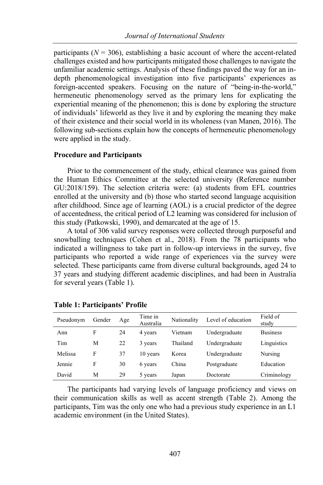participants  $(N = 306)$ , establishing a basic account of where the accent-related challenges existed and how participants mitigated those challenges to navigate the unfamiliar academic settings. Analysis of these findings paved the way for an indepth phenomenological investigation into five participants' experiences as foreign-accented speakers. Focusing on the nature of "being-in-the-world," hermeneutic phenomenology served as the primary lens for explicating the experiential meaning of the phenomenon; this is done by exploring the structure of individuals' lifeworld as they live it and by exploring the meaning they make of their existence and their social world in its wholeness (van Manen, 2016). The following sub-sections explain how the concepts of hermeneutic phenomenology were applied in the study.

#### **Procedure and Participants**

Prior to the commencement of the study, ethical clearance was gained from the Human Ethics Committee at the selected university (Reference number GU:2018/159). The selection criteria were: (a) students from EFL countries enrolled at the university and (b) those who started second language acquisition after childhood. Since age of learning (AOL) is a crucial predictor of the degree of accentedness, the critical period of L2 learning was considered for inclusion of this study (Patkowski, 1990), and demarcated at the age of 15.

A total of 306 valid survey responses were collected through purposeful and snowballing techniques (Cohen et al., 2018). From the 78 participants who indicated a willingness to take part in follow-up interviews in the survey, five participants who reported a wide range of experiences via the survey were selected. These participants came from diverse cultural backgrounds, aged 24 to 37 years and studying different academic disciplines, and had been in Australia for several years (Table 1).

| Pseudonym | Gender | Age | Time in<br>Australia | Nationality | Level of education | Field of<br>study |
|-----------|--------|-----|----------------------|-------------|--------------------|-------------------|
| Ann       | F      | 24  | 4 years              | Vietnam     | Undergraduate      | <b>Business</b>   |
| Tim       | М      | 22  | 3 years              | Thailand    | Undergraduate      | Linguistics       |
| Melissa   | F      | 37  | 10 years             | Korea       | Undergraduate      | Nursing           |
| Jennie    | F      | 30  | 6 years              | China       | Postgraduate       | Education         |
| David     | М      | 29  | 5 years              | Japan       | Doctorate          | Criminology       |

**Table 1: Participants' Profile**

The participants had varying levels of language proficiency and views on their communication skills as well as accent strength (Table 2). Among the participants, Tim was the only one who had a previous study experience in an L1 academic environment (in the United States).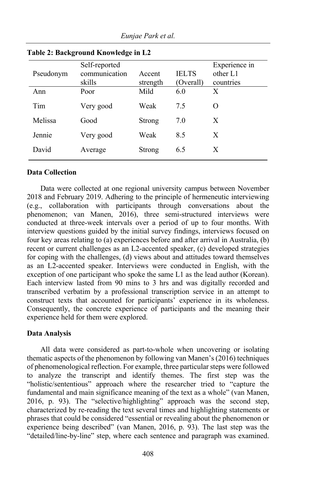| -------   |                                          |                    |                           |                                        |  |  |  |  |
|-----------|------------------------------------------|--------------------|---------------------------|----------------------------------------|--|--|--|--|
| Pseudonym | Self-reported<br>communication<br>skills | Accent<br>strength | <b>IELTS</b><br>(Overall) | Experience in<br>other L1<br>countries |  |  |  |  |
| Ann       | Poor                                     | Mild               | 6.0                       | X                                      |  |  |  |  |
| Tim       | Very good                                | Weak               | 7.5                       | $\Omega$                               |  |  |  |  |
| Melissa   | Good                                     | Strong             | 7.0                       | X                                      |  |  |  |  |
| Jennie    | Very good                                | Weak               | 8.5                       | X                                      |  |  |  |  |
| David     | Average                                  | Strong             | 6.5                       | X                                      |  |  |  |  |

**Table 2: Background Knowledge in L2**

# **Data Collection**

Data were collected at one regional university campus between November 2018 and February 2019. Adhering to the principle of hermeneutic interviewing (e.g., collaboration with participants through conversations about the phenomenon; van Manen, 2016), three semi-structured interviews were conducted at three-week intervals over a period of up to four months. With interview questions guided by the initial survey findings, interviews focused on four key areas relating to (a) experiences before and after arrival in Australia, (b) recent or current challenges as an L2-accented speaker, (c) developed strategies for coping with the challenges, (d) views about and attitudes toward themselves as an L2-accented speaker. Interviews were conducted in English, with the exception of one participant who spoke the same L1 as the lead author (Korean). Each interview lasted from 90 mins to 3 hrs and was digitally recorded and transcribed verbatim by a professional transcription service in an attempt to construct texts that accounted for participants' experience in its wholeness. Consequently, the concrete experience of participants and the meaning their experience held for them were explored.

## **Data Analysis**

All data were considered as part-to-whole when uncovering or isolating thematic aspects of the phenomenon by following van Manen's (2016) techniques of phenomenological reflection. For example, three particular steps were followed to analyze the transcript and identify themes. The first step was the "holistic/sententious" approach where the researcher tried to "capture the fundamental and main significance meaning of the text as a whole" (van Manen, 2016, p. 93). The "selective/highlighting" approach was the second step, characterized by re-reading the text several times and highlighting statements or phrases that could be considered "essential or revealing about the phenomenon or experience being described" (van Manen, 2016, p. 93). The last step was the "detailed/line-by-line" step, where each sentence and paragraph was examined.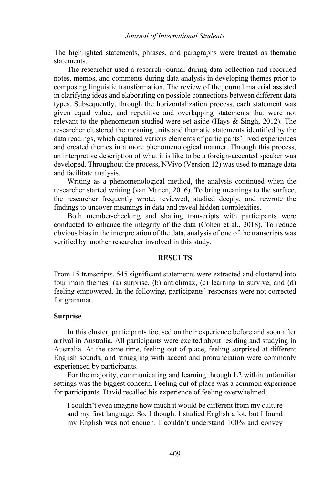The highlighted statements, phrases, and paragraphs were treated as thematic statements.

The researcher used a research journal during data collection and recorded notes, memos, and comments during data analysis in developing themes prior to composing linguistic transformation. The review of the journal material assisted in clarifying ideas and elaborating on possible connections between different data types. Subsequently, through the horizontalization process, each statement was given equal value, and repetitive and overlapping statements that were not relevant to the phenomenon studied were set aside (Hays & Singh, 2012). The researcher clustered the meaning units and thematic statements identified by the data readings, which captured various elements of participants' lived experiences and created themes in a more phenomenological manner. Through this process, an interpretive description of what it is like to be a foreign-accented speaker was developed. Throughout the process, NVivo (Version 12) was used to manage data and facilitate analysis.

Writing as a phenomenological method, the analysis continued when the researcher started writing (van Manen, 2016). To bring meanings to the surface, the researcher frequently wrote, reviewed, studied deeply, and rewrote the findings to uncover meanings in data and reveal hidden complexities.

Both member-checking and sharing transcripts with participants were conducted to enhance the integrity of the data (Cohen et al., 2018). To reduce obvious bias in the interpretation of the data, analysis of one of the transcripts was verified by another researcher involved in this study.

#### **RESULTS**

From 15 transcripts, 545 significant statements were extracted and clustered into four main themes: (a) surprise, (b) anticlimax, (c) learning to survive, and (d) feeling empowered. In the following, participants' responses were not corrected for grammar.

#### **Surprise**

In this cluster, participants focused on their experience before and soon after arrival in Australia. All participants were excited about residing and studying in Australia. At the same time, feeling out of place, feeling surprised at different English sounds, and struggling with accent and pronunciation were commonly experienced by participants.

For the majority, communicating and learning through L2 within unfamiliar settings was the biggest concern. Feeling out of place was a common experience for participants. David recalled his experience of feeling overwhelmed:

I couldn't even imagine how much it would be different from my culture and my first language. So, I thought I studied English a lot, but I found my English was not enough. I couldn't understand 100% and convey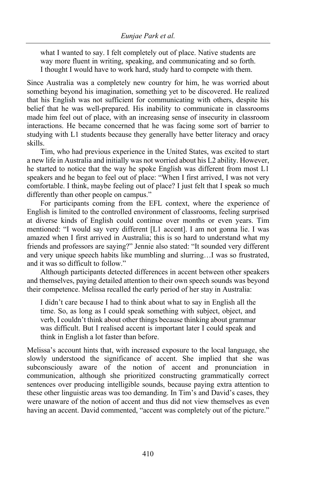what I wanted to say. I felt completely out of place. Native students are way more fluent in writing, speaking, and communicating and so forth. I thought I would have to work hard, study hard to compete with them.

Since Australia was a completely new country for him, he was worried about something beyond his imagination, something yet to be discovered. He realized that his English was not sufficient for communicating with others, despite his belief that he was well-prepared. His inability to communicate in classrooms made him feel out of place, with an increasing sense of insecurity in classroom interactions. He became concerned that he was facing some sort of barrier to studying with L1 students because they generally have better literacy and oracy skills.

Tim, who had previous experience in the United States, was excited to start a new life in Australia and initially was not worried about his L2 ability. However, he started to notice that the way he spoke English was different from most L1 speakers and he began to feel out of place: "When I first arrived, I was not very comfortable. I think, maybe feeling out of place? I just felt that I speak so much differently than other people on campus."

For participants coming from the EFL context, where the experience of English is limited to the controlled environment of classrooms, feeling surprised at diverse kinds of English could continue over months or even years. Tim mentioned: "I would say very different [L1 accent]. I am not gonna lie. I was amazed when I first arrived in Australia; this is so hard to understand what my friends and professors are saying?" Jennie also stated: "It sounded very different and very unique speech habits like mumbling and slurring…I was so frustrated, and it was so difficult to follow."

Although participants detected differences in accent between other speakers and themselves, paying detailed attention to their own speech sounds was beyond their competence. Melissa recalled the early period of her stay in Australia:

I didn't care because I had to think about what to say in English all the time. So, as long as I could speak something with subject, object, and verb, I couldn't think about other things because thinking about grammar was difficult. But I realised accent is important later I could speak and think in English a lot faster than before.

Melissa's account hints that, with increased exposure to the local language, she slowly understood the significance of accent. She implied that she was subconsciously aware of the notion of accent and pronunciation in communication, although she prioritized constructing grammatically correct sentences over producing intelligible sounds, because paying extra attention to these other linguistic areas was too demanding. In Tim's and David's cases, they were unaware of the notion of accent and thus did not view themselves as even having an accent. David commented, "accent was completely out of the picture."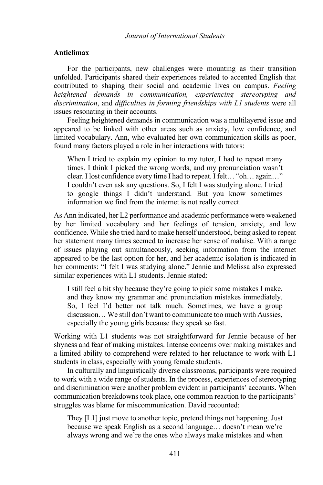## **Anticlimax**

For the participants, new challenges were mounting as their transition unfolded. Participants shared their experiences related to accented English that contributed to shaping their social and academic lives on campus. *Feeling heightened demands in communication, experiencing stereotyping and discrimination*, and *difficulties in forming friendships with L1 students* were all issues resonating in their accounts.

Feeling heightened demands in communication was a multilayered issue and appeared to be linked with other areas such as anxiety, low confidence, and limited vocabulary. Ann, who evaluated her own communication skills as poor, found many factors played a role in her interactions with tutors:

When I tried to explain my opinion to my tutor, I had to repeat many times. I think I picked the wrong words, and my pronunciation wasn't clear. I lost confidence every time I had to repeat. I felt… "oh… again…" I couldn't even ask any questions. So, I felt I was studying alone. I tried to google things I didn't understand. But you know sometimes information we find from the internet is not really correct.

As Ann indicated, her L2 performance and academic performance were weakened by her limited vocabulary and her feelings of tension, anxiety, and low confidence. While she tried hard to make herself understood, being asked to repeat her statement many times seemed to increase her sense of malaise. With a range of issues playing out simultaneously, seeking information from the internet appeared to be the last option for her, and her academic isolation is indicated in her comments: "I felt I was studying alone." Jennie and Melissa also expressed similar experiences with L1 students. Jennie stated:

I still feel a bit shy because they're going to pick some mistakes I make, and they know my grammar and pronunciation mistakes immediately. So, I feel I'd better not talk much. Sometimes, we have a group discussion… We still don't want to communicate too much with Aussies, especially the young girls because they speak so fast.

Working with L1 students was not straightforward for Jennie because of her shyness and fear of making mistakes. Intense concerns over making mistakes and a limited ability to comprehend were related to her reluctance to work with L1 students in class, especially with young female students.

In culturally and linguistically diverse classrooms, participants were required to work with a wide range of students. In the process, experiences of stereotyping and discrimination were another problem evident in participants' accounts. When communication breakdowns took place, one common reaction to the participants' struggles was blame for miscommunication. David recounted:

They [L1] just move to another topic, pretend things not happening. Just because we speak English as a second language… doesn't mean we're always wrong and we're the ones who always make mistakes and when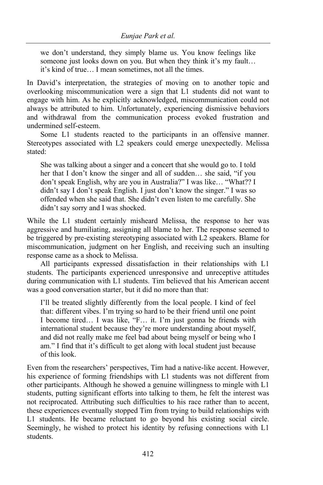we don't understand, they simply blame us. You know feelings like someone just looks down on you. But when they think it's my fault… it's kind of true… I mean sometimes, not all the times.

In David's interpretation, the strategies of moving on to another topic and overlooking miscommunication were a sign that L1 students did not want to engage with him. As he explicitly acknowledged, miscommunication could not always be attributed to him. Unfortunately, experiencing dismissive behaviors and withdrawal from the communication process evoked frustration and undermined self-esteem.

Some L1 students reacted to the participants in an offensive manner. Stereotypes associated with L2 speakers could emerge unexpectedly. Melissa stated:

She was talking about a singer and a concert that she would go to. I told her that I don't know the singer and all of sudden… she said, "if you don't speak English, why are you in Australia?" I was like… "What?? I didn't say I don't speak English. I just don't know the singer." I was so offended when she said that. She didn't even listen to me carefully. She didn't say sorry and I was shocked.

While the L1 student certainly misheard Melissa, the response to her was aggressive and humiliating, assigning all blame to her. The response seemed to be triggered by pre-existing stereotyping associated with L2 speakers. Blame for miscommunication, judgment on her English, and receiving such an insulting response came as a shock to Melissa.

All participants expressed dissatisfaction in their relationships with L1 students. The participants experienced unresponsive and unreceptive attitudes during communication with L1 students. Tim believed that his American accent was a good conversation starter, but it did no more than that:

I'll be treated slightly differently from the local people. I kind of feel that: different vibes. I'm trying so hard to be their friend until one point I become tired… I was like, "F… it. I'm just gonna be friends with international student because they're more understanding about myself, and did not really make me feel bad about being myself or being who I am." I find that it's difficult to get along with local student just because of this look.

Even from the researchers' perspectives, Tim had a native-like accent. However, his experience of forming friendships with L1 students was not different from other participants. Although he showed a genuine willingness to mingle with L1 students, putting significant efforts into talking to them, he felt the interest was not reciprocated. Attributing such difficulties to his race rather than to accent, these experiences eventually stopped Tim from trying to build relationships with L1 students. He became reluctant to go beyond his existing social circle. Seemingly, he wished to protect his identity by refusing connections with L1 students.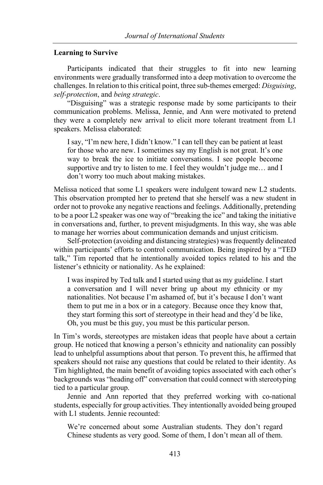## **Learning to Survive**

Participants indicated that their struggles to fit into new learning environments were gradually transformed into a deep motivation to overcome the challenges. In relation to this critical point, three sub-themes emerged: *Disguising*, *self-protection*, and *being strategic*.

"Disguising" was a strategic response made by some participants to their communication problems. Melissa, Jennie, and Ann were motivated to pretend they were a completely new arrival to elicit more tolerant treatment from L1 speakers. Melissa elaborated:

I say, "I'm new here, I didn't know." I can tell they can be patient at least for those who are new. I sometimes say my English is not great. It's one way to break the ice to initiate conversations. I see people become supportive and try to listen to me. I feel they wouldn't judge me… and I don't worry too much about making mistakes.

Melissa noticed that some L1 speakers were indulgent toward new L2 students. This observation prompted her to pretend that she herself was a new student in order not to provoke any negative reactions and feelings. Additionally, pretending to be a poor L2 speaker was one way of "breaking the ice" and taking the initiative in conversations and, further, to prevent misjudgments. In this way, she was able to manage her worries about communication demands and unjust criticism.

Self-protection (avoiding and distancing strategies) was frequently delineated within participants' efforts to control communication. Being inspired by a "TED talk," Tim reported that he intentionally avoided topics related to his and the listener's ethnicity or nationality. As he explained:

I was inspired by Ted talk and I started using that as my guideline. I start a conversation and I will never bring up about my ethnicity or my nationalities. Not because I'm ashamed of, but it's because I don't want them to put me in a box or in a category. Because once they know that, they start forming this sort of stereotype in their head and they'd be like, Oh, you must be this guy, you must be this particular person.

In Tim's words, stereotypes are mistaken ideas that people have about a certain group. He noticed that knowing a person's ethnicity and nationality can possibly lead to unhelpful assumptions about that person. To prevent this, he affirmed that speakers should not raise any questions that could be related to their identity. As Tim highlighted, the main benefit of avoiding topics associated with each other's backgrounds was "heading off" conversation that could connect with stereotyping tied to a particular group.

Jennie and Ann reported that they preferred working with co-national students, especially for group activities. They intentionally avoided being grouped with L1 students. Jennie recounted:

We're concerned about some Australian students. They don't regard Chinese students as very good. Some of them, I don't mean all of them.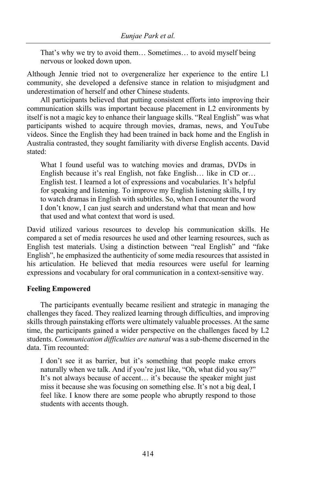That's why we try to avoid them… Sometimes… to avoid myself being nervous or looked down upon.

Although Jennie tried not to overgeneralize her experience to the entire L1 community, she developed a defensive stance in relation to misjudgment and underestimation of herself and other Chinese students.

All participants believed that putting consistent efforts into improving their communication skills was important because placement in L2 environments by itself is not a magic key to enhance their language skills. "Real English" was what participants wished to acquire through movies, dramas, news, and YouTube videos. Since the English they had been trained in back home and the English in Australia contrasted, they sought familiarity with diverse English accents. David stated:

What I found useful was to watching movies and dramas, DVDs in English because it's real English, not fake English… like in CD or… English test. I learned a lot of expressions and vocabularies. It's helpful for speaking and listening. To improve my English listening skills, I try to watch dramas in English with subtitles. So, when I encounter the word I don't know, I can just search and understand what that mean and how that used and what context that word is used.

David utilized various resources to develop his communication skills. He compared a set of media resources he used and other learning resources, such as English test materials. Using a distinction between "real English" and "fake English", he emphasized the authenticity of some media resources that assisted in his articulation. He believed that media resources were useful for learning expressions and vocabulary for oral communication in a context-sensitive way.

## **Feeling Empowered**

The participants eventually became resilient and strategic in managing the challenges they faced. They realized learning through difficulties, and improving skills through painstaking efforts were ultimately valuable processes. At the same time, the participants gained a wider perspective on the challenges faced by L2 students. *Communication difficulties are natural* was a sub-theme discerned in the data. Tim recounted:

I don't see it as barrier, but it's something that people make errors naturally when we talk. And if you're just like, "Oh, what did you say?" It's not always because of accent… it's because the speaker might just miss it because she was focusing on something else. It's not a big deal, I feel like. I know there are some people who abruptly respond to those students with accents though.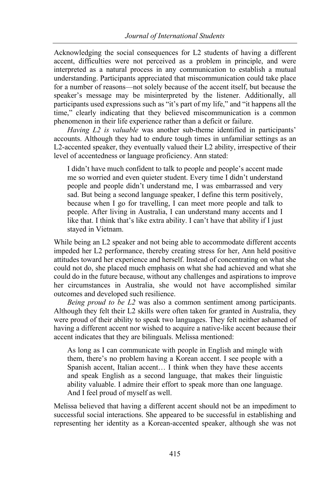Acknowledging the social consequences for L2 students of having a different accent, difficulties were not perceived as a problem in principle, and were interpreted as a natural process in any communication to establish a mutual understanding. Participants appreciated that miscommunication could take place for a number of reasons—not solely because of the accent itself, but because the speaker's message may be misinterpreted by the listener. Additionally, all participants used expressions such as "it's part of my life," and "it happens all the time," clearly indicating that they believed miscommunication is a common phenomenon in their life experience rather than a deficit or failure.

*Having L2 is valuable* was another sub-theme identified in participants' accounts. Although they had to endure tough times in unfamiliar settings as an L2-accented speaker, they eventually valued their L2 ability, irrespective of their level of accentedness or language proficiency. Ann stated:

I didn't have much confident to talk to people and people's accent made me so worried and even quieter student. Every time I didn't understand people and people didn't understand me, I was embarrassed and very sad. But being a second language speaker, I define this term positively, because when I go for travelling, I can meet more people and talk to people. After living in Australia, I can understand many accents and I like that. I think that's like extra ability. I can't have that ability if I just stayed in Vietnam.

While being an L2 speaker and not being able to accommodate different accents impeded her L2 performance, thereby creating stress for her, Ann held positive attitudes toward her experience and herself. Instead of concentrating on what she could not do, she placed much emphasis on what she had achieved and what she could do in the future because, without any challenges and aspirations to improve her circumstances in Australia, she would not have accomplished similar outcomes and developed such resilience.

*Being proud to be L2* was also a common sentiment among participants. Although they felt their L2 skills were often taken for granted in Australia, they were proud of their ability to speak two languages. They felt neither ashamed of having a different accent nor wished to acquire a native-like accent because their accent indicates that they are bilinguals. Melissa mentioned:

As long as I can communicate with people in English and mingle with them, there's no problem having a Korean accent. I see people with a Spanish accent, Italian accent… I think when they have these accents and speak English as a second language, that makes their linguistic ability valuable. I admire their effort to speak more than one language. And I feel proud of myself as well.

Melissa believed that having a different accent should not be an impediment to successful social interactions. She appeared to be successful in establishing and representing her identity as a Korean-accented speaker, although she was not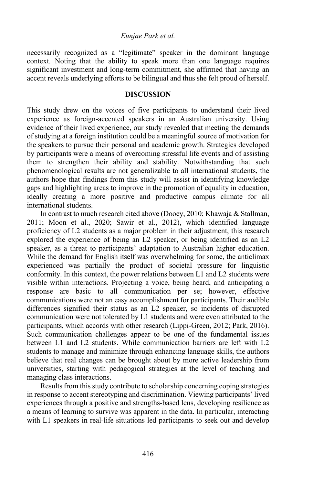necessarily recognized as a "legitimate" speaker in the dominant language context. Noting that the ability to speak more than one language requires significant investment and long-term commitment, she affirmed that having an accent reveals underlying efforts to be bilingual and thus she felt proud of herself.

## **DISCUSSION**

This study drew on the voices of five participants to understand their lived experience as foreign-accented speakers in an Australian university. Using evidence of their lived experience, our study revealed that meeting the demands of studying at a foreign institution could be a meaningful source of motivation for the speakers to pursue their personal and academic growth. Strategies developed by participants were a means of overcoming stressful life events and of assisting them to strengthen their ability and stability. Notwithstanding that such phenomenological results are not generalizable to all international students, the authors hope that findings from this study will assist in identifying knowledge gaps and highlighting areas to improve in the promotion of equality in education, ideally creating a more positive and productive campus climate for all international students.

In contrast to much research cited above (Dooey, 2010; Khawaja & Stallman, 2011; Moon et al., 2020; Sawir et al., 2012), which identified language proficiency of L2 students as a major problem in their adjustment, this research explored the experience of being an L2 speaker, or being identified as an L2 speaker, as a threat to participants' adaptation to Australian higher education. While the demand for English itself was overwhelming for some, the anticlimax experienced was partially the product of societal pressure for linguistic conformity. In this context, the power relations between L1 and L2 students were visible within interactions. Projecting a voice, being heard, and anticipating a response are basic to all communication per se; however, effective communications were not an easy accomplishment for participants. Their audible differences signified their status as an L2 speaker, so incidents of disrupted communication were not tolerated by L1 students and were even attributed to the participants, which accords with other research (Lippi-Green, 2012; Park, 2016). Such communication challenges appear to be one of the fundamental issues between L1 and L2 students. While communication barriers are left with L2 students to manage and minimize through enhancing language skills, the authors believe that real changes can be brought about by more active leadership from universities, starting with pedagogical strategies at the level of teaching and managing class interactions.

Results from this study contribute to scholarship concerning coping strategies in response to accent stereotyping and discrimination. Viewing participants' lived experiences through a positive and strengths-based lens, developing resilience as a means of learning to survive was apparent in the data. In particular, interacting with L1 speakers in real-life situations led participants to seek out and develop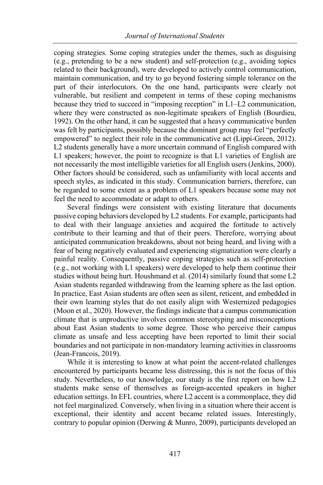coping strategies. Some coping strategies under the themes, such as disguising (e.g., pretending to be a new student) and self-protection (e.g., avoiding topics related to their background), were developed to actively control communication, maintain communication, and try to go beyond fostering simple tolerance on the part of their interlocutors. On the one hand, participants were clearly not vulnerable, but resilient and competent in terms of these coping mechanisms because they tried to succeed in "imposing reception" in L1–L2 communication, where they were constructed as non-legitimate speakers of English (Bourdieu, 1992). On the other hand, it can be suggested that a heavy communicative burden was felt by participants, possibly because the dominant group may feel "perfectly empowered" to neglect their role in the communicative act (Lippi-Green, 2012). L2 students generally have a more uncertain command of English compared with L1 speakers; however, the point to recognize is that L1 varieties of English are not necessarily the most intelligible varieties for all English users (Jenkins, 2000). Other factors should be considered, such as unfamiliarity with local accents and speech styles, as indicated in this study. Communication barriers, therefore, can be regarded to some extent as a problem of L1 speakers because some may not feel the need to accommodate or adapt to others.

Several findings were consistent with existing literature that documents passive coping behaviors developed by L2 students. For example, participants had to deal with their language anxieties and acquired the fortitude to actively contribute to their learning and that of their peers. Therefore, worrying about anticipated communication breakdowns, about not being heard, and living with a fear of being negatively evaluated and experiencing stigmatization were clearly a painful reality. Consequently, passive coping strategies such as self-protection (e.g., not working with L1 speakers) were developed to help them continue their studies without being hurt. Houshmand et al. (2014) similarly found that some L2 Asian students regarded withdrawing from the learning sphere as the last option. In practice, East Asian students are often seen as silent, reticent, and embedded in their own learning styles that do not easily align with Westernized pedagogies (Moon et al., 2020). However, the findings indicate that a campus communication climate that is unproductive involves common stereotyping and misconceptions about East Asian students to some degree. Those who perceive their campus climate as unsafe and less accepting have been reported to limit their social boundaries and not participate in non-mandatory learning activities in classrooms (Jean-Francois, 2019).

While it is interesting to know at what point the accent-related challenges encountered by participants became less distressing, this is not the focus of this study. Nevertheless, to our knowledge, our study is the first report on how L2 students make sense of themselves as foreign-accented speakers in higher education settings. In EFL countries, where L2 accent is a commonplace, they did not feel marginalized. Conversely, when living in a situation where their accent is exceptional, their identity and accent became related issues. Interestingly, contrary to popular opinion (Derwing & Munro, 2009), participants developed an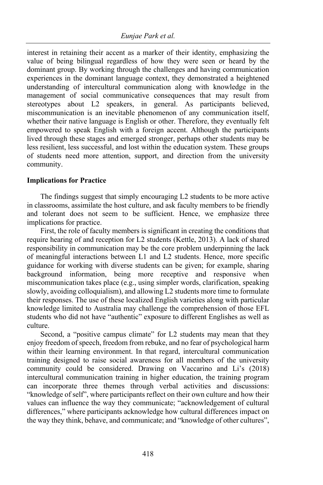interest in retaining their accent as a marker of their identity, emphasizing the value of being bilingual regardless of how they were seen or heard by the dominant group. By working through the challenges and having communication experiences in the dominant language context, they demonstrated a heightened understanding of intercultural communication along with knowledge in the management of social communicative consequences that may result from stereotypes about L2 speakers, in general. As participants believed, miscommunication is an inevitable phenomenon of any communication itself, whether their native language is English or other. Therefore, they eventually felt empowered to speak English with a foreign accent. Although the participants lived through these stages and emerged stronger, perhaps other students may be less resilient, less successful, and lost within the education system. These groups of students need more attention, support, and direction from the university community.

## **Implications for Practice**

The findings suggest that simply encouraging L2 students to be more active in classrooms, assimilate the host culture, and ask faculty members to be friendly and tolerant does not seem to be sufficient. Hence, we emphasize three implications for practice.

First, the role of faculty members is significant in creating the conditions that require hearing of and reception for L2 students (Kettle, 2013). A lack of shared responsibility in communication may be the core problem underpinning the lack of meaningful interactions between L1 and L2 students. Hence, more specific guidance for working with diverse students can be given; for example, sharing background information, being more receptive and responsive when miscommunication takes place (e.g., using simpler words, clarification, speaking slowly, avoiding colloquialism), and allowing L2 students more time to formulate their responses. The use of these localized English varieties along with particular knowledge limited to Australia may challenge the comprehension of those EFL students who did not have "authentic" exposure to different Englishes as well as culture.

Second, a "positive campus climate" for L2 students may mean that they enjoy freedom of speech, freedom from rebuke, and no fear of psychological harm within their learning environment. In that regard, intercultural communication training designed to raise social awareness for all members of the university community could be considered. Drawing on Vaccarino and Li's (2018) intercultural communication training in higher education, the training program can incorporate three themes through verbal activities and discussions: "knowledge of self", where participants reflect on their own culture and how their values can influence the way they communicate; "acknowledgement of cultural differences," where participants acknowledge how cultural differences impact on the way they think, behave, and communicate; and "knowledge of other cultures",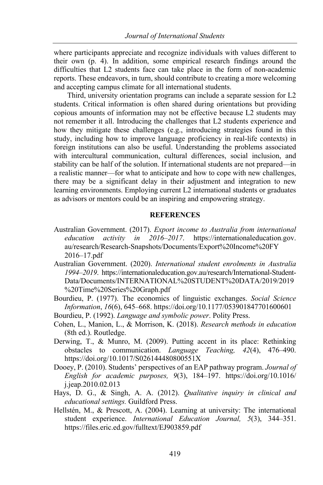where participants appreciate and recognize individuals with values different to their own (p. 4). In addition, some empirical research findings around the difficulties that L2 students face can take place in the form of non-academic reports. These endeavors, in turn, should contribute to creating a more welcoming and accepting campus climate for all international students.

Third, university orientation programs can include a separate session for L2 students. Critical information is often shared during orientations but providing copious amounts of information may not be effective because L2 students may not remember it all. Introducing the challenges that L2 students experience and how they mitigate these challenges (e.g., introducing strategies found in this study, including how to improve language proficiency in real-life contexts) in foreign institutions can also be useful. Understanding the problems associated with intercultural communication, cultural differences, social inclusion, and stability can be half of the solution. If international students are not prepared—in a realistic manner—for what to anticipate and how to cope with new challenges, there may be a significant delay in their adjustment and integration to new learning environments. Employing current L2 international students or graduates as advisors or mentors could be an inspiring and empowering strategy.

## **REFERENCES**

- Australian Government. (2017). *Export income to Australia from international education activity in 2016–2017*. https://internationaleducation.gov. au/research/Research-Snapshots/Documents/Export%20Income%20FY 2016–17.pdf
- Australian Government. (2020). *International student enrolments in Australia 1994–2019*. https://internationaleducation.gov.au/research/International-Student-Data/Documents/INTERNATIONAL%20STUDENT%20DATA/2019/2019 %20Time%20Series%20Graph.pdf
- Bourdieu, P. (1977). The economics of linguistic exchanges. *Social Science Information*, *16*(6), 645–668. https://doi.org/10.1177/053901847701600601
- Bourdieu, P. (1992). *Language and symbolic power*. Polity Press.
- Cohen, L., Manion, L., & Morrison, K. (2018). *Research methods in education* (8th ed.). Routledge.
- Derwing, T., & Munro, M. (2009). Putting accent in its place: Rethinking obstacles to communication. *Language Teaching, 42*(4), 476–490. https://doi.org/10.1017/S026144480800551X
- Dooey, P. (2010). Students' perspectives of an EAP pathway program. *Journal of English for academic purposes, 9*(3), 184–197. https://doi.org/10.1016/ j.jeap.2010.02.013
- Hays, D. G., & Singh, A. A. (2012). *Qualitative inquiry in clinical and educational settings.* Guildford Press.
- Hellstén, M., & Prescott, A. (2004). Learning at university: The international student experience. *International Education Journal, 5*(3), 344–351. https://files.eric.ed.gov/fulltext/EJ903859.pdf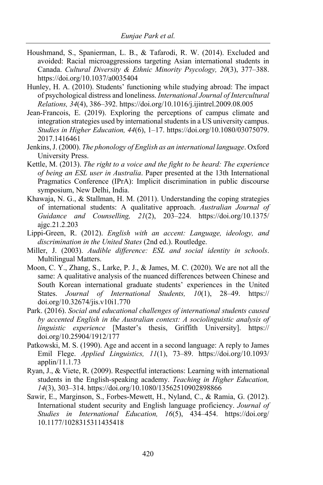- Houshmand, S., Spanierman, L. B., & Tafarodi, R. W. (2014). Excluded and avoided: Racial microaggressions targeting Asian international students in Canada. *Cultural Diversity & Ethnic Minority Psycology, 20*(3), 377–388. https://doi.org/10.1037/a0035404
- Hunley, H. A. (2010). Students' functioning while studying abroad: The impact of psychological distress and loneliness. *International Journal of Intercultural Relations, 34*(4), 386–392. https://doi.org/10.1016/j.ijintrel.2009.08.005
- Jean-Francois, E. (2019). Exploring the perceptions of campus climate and integration strategies used by international students in a US university campus. *Studies in Higher Education, 44*(6), 1–17. https://doi.org/10.1080/03075079. 2017.1416461
- Jenkins, J. (2000). *The phonology of English as an international language*. Oxford University Press.
- Kettle, M. (2013). *The right to a voice and the fight to be heard: The experience of being an ESL user in Australia*. Paper presented at the 13th International Pragmatics Conference (IPrA): Implicit discrimination in public discourse symposium, New Delhi, India.
- Khawaja, N. G., & Stallman, H. M. (2011). Understanding the coping strategies of international students: A qualitative approach. *Australian Journal of Guidance and Counselling, 21*(2), 203–224. https://doi.org/10.1375/ ajgc.21.2.203
- Lippi-Green, R. (2012). *English with an accent: Language, ideology, and discrimination in the United States* (2nd ed.). Routledge.
- Miller, J. (2003). *Audible difference: ESL and social identity in schools*. Multilingual Matters.
- Moon, C. Y., Zhang, S., Larke, P. J., & James, M. C. (2020). We are not all the same: A qualitative analysis of the nuanced differences between Chinese and South Korean international graduate students' experiences in the United States. *Journal of International Students, 10*(1), 28–49. https:// doi.org/10.32674/jis.v10i1.770
- Park. (2016). *Social and educational challenges of international students caused by accented English in the Australian context: A sociolinguistic analysis of linguistic experience* [Master's thesis, Griffith University]. https:// doi.org/10.25904/1912/177
- Patkowski, M. S. (1990). Age and accent in a second language: A reply to James Emil Flege. *Applied Linguistics, 11*(1), 73–89. https://doi.org/10.1093/ applin/11.1.73
- Ryan, J., & Viete, R. (2009). Respectful interactions: Learning with international students in the English-speaking academy. *Teaching in Higher Education, 14*(3), 303–314. https://doi.org/10.1080/13562510902898866
- Sawir, E., Marginson, S., Forbes-Mewett, H., Nyland, C., & Ramia, G. (2012). International student security and English language proficiency. *Journal of Studies in International Education, 16*(5), 434–454. https://doi.org/ 10.1177/1028315311435418